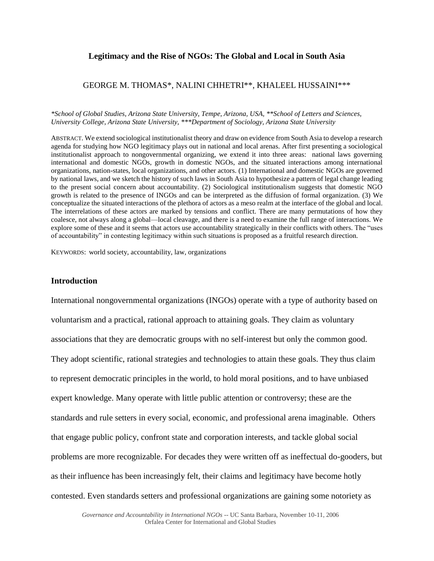# **Legitimacy and the Rise of NGOs: The Global and Local in South Asia**

# GEORGE M. THOMAS\*, NALINI CHHETRI\*\*, KHALEEL HUSSAINI\*\*\*

### *\*School of Global Studies, Arizona State University, Tempe, Arizona, USA, \*\*School of Letters and Sciences, University College, Arizona State University, \*\*\*Department of Sociology, Arizona State University*

ABSTRACT. We extend sociological institutionalist theory and draw on evidence from South Asia to develop a research agenda for studying how NGO legitimacy plays out in national and local arenas. After first presenting a sociological institutionalist approach to nongovernmental organizing, we extend it into three areas: national laws governing international and domestic NGOs, growth in domestic NGOs, and the situated interactions among international organizations, nation-states, local organizations, and other actors. (1) International and domestic NGOs are governed by national laws, and we sketch the history of such laws in South Asia to hypothesize a pattern of legal change leading to the present social concern about accountability. (2) Sociological institutionalism suggests that domestic NGO growth is related to the presence of INGOs and can be interpreted as the diffusion of formal organization. (3) We conceptualize the situated interactions of the plethora of actors as a meso realm at the interface of the global and local. The interrelations of these actors are marked by tensions and conflict. There are many permutations of how they coalesce, not always along a global—local cleavage, and there is a need to examine the full range of interactions. We explore some of these and it seems that actors use accountability strategically in their conflicts with others. The "uses of accountability" in contesting legitimacy within such situations is proposed as a fruitful research direction.

KEYWORDS: world society, accountability, law, organizations

# **Introduction**

International nongovernmental organizations (INGOs) operate with a type of authority based on voluntarism and a practical, rational approach to attaining goals. They claim as voluntary associations that they are democratic groups with no self-interest but only the common good. They adopt scientific, rational strategies and technologies to attain these goals. They thus claim to represent democratic principles in the world, to hold moral positions, and to have unbiased expert knowledge. Many operate with little public attention or controversy; these are the standards and rule setters in every social, economic, and professional arena imaginable. Others that engage public policy, confront state and corporation interests, and tackle global social problems are more recognizable. For decades they were written off as ineffectual do-gooders, but as their influence has been increasingly felt, their claims and legitimacy have become hotly contested. Even standards setters and professional organizations are gaining some notoriety as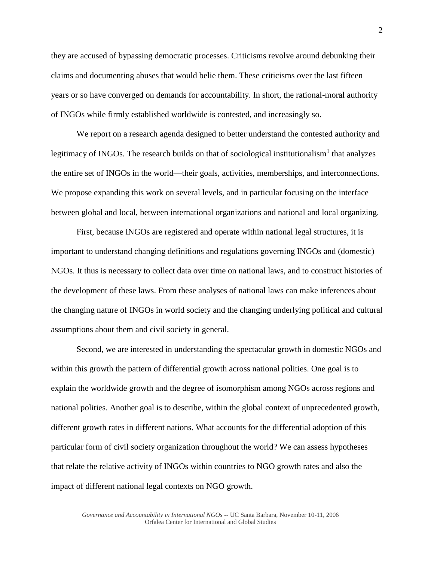they are accused of bypassing democratic processes. Criticisms revolve around debunking their claims and documenting abuses that would belie them. These criticisms over the last fifteen years or so have converged on demands for accountability. In short, the rational-moral authority of INGOs while firmly established worldwide is contested, and increasingly so.

We report on a research agenda designed to better understand the contested authority and legitimacy of INGOs. The research builds on that of sociological institutionalism<sup>1</sup> that analyzes the entire set of INGOs in the world—their goals, activities, memberships, and interconnections. We propose expanding this work on several levels, and in particular focusing on the interface between global and local, between international organizations and national and local organizing.

First, because INGOs are registered and operate within national legal structures, it is important to understand changing definitions and regulations governing INGOs and (domestic) NGOs. It thus is necessary to collect data over time on national laws, and to construct histories of the development of these laws. From these analyses of national laws can make inferences about the changing nature of INGOs in world society and the changing underlying political and cultural assumptions about them and civil society in general.

Second, we are interested in understanding the spectacular growth in domestic NGOs and within this growth the pattern of differential growth across national polities. One goal is to explain the worldwide growth and the degree of isomorphism among NGOs across regions and national polities. Another goal is to describe, within the global context of unprecedented growth, different growth rates in different nations. What accounts for the differential adoption of this particular form of civil society organization throughout the world? We can assess hypotheses that relate the relative activity of INGOs within countries to NGO growth rates and also the impact of different national legal contexts on NGO growth.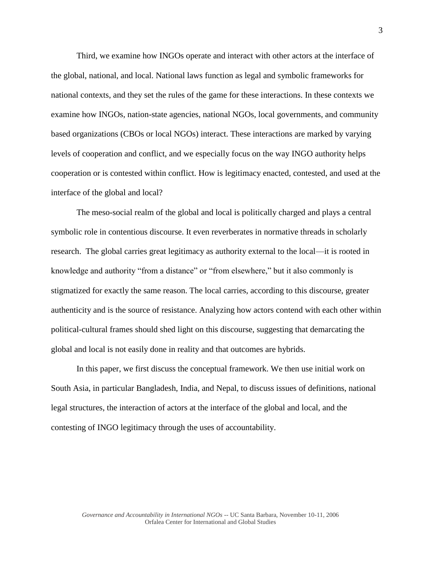Third, we examine how INGOs operate and interact with other actors at the interface of the global, national, and local. National laws function as legal and symbolic frameworks for national contexts, and they set the rules of the game for these interactions. In these contexts we examine how INGOs, nation-state agencies, national NGOs, local governments, and community based organizations (CBOs or local NGOs) interact. These interactions are marked by varying levels of cooperation and conflict, and we especially focus on the way INGO authority helps cooperation or is contested within conflict. How is legitimacy enacted, contested, and used at the interface of the global and local?

The meso-social realm of the global and local is politically charged and plays a central symbolic role in contentious discourse. It even reverberates in normative threads in scholarly research. The global carries great legitimacy as authority external to the local—it is rooted in knowledge and authority "from a distance" or "from elsewhere," but it also commonly is stigmatized for exactly the same reason. The local carries, according to this discourse, greater authenticity and is the source of resistance. Analyzing how actors contend with each other within political-cultural frames should shed light on this discourse, suggesting that demarcating the global and local is not easily done in reality and that outcomes are hybrids.

In this paper, we first discuss the conceptual framework. We then use initial work on South Asia, in particular Bangladesh, India, and Nepal, to discuss issues of definitions, national legal structures, the interaction of actors at the interface of the global and local, and the contesting of INGO legitimacy through the uses of accountability.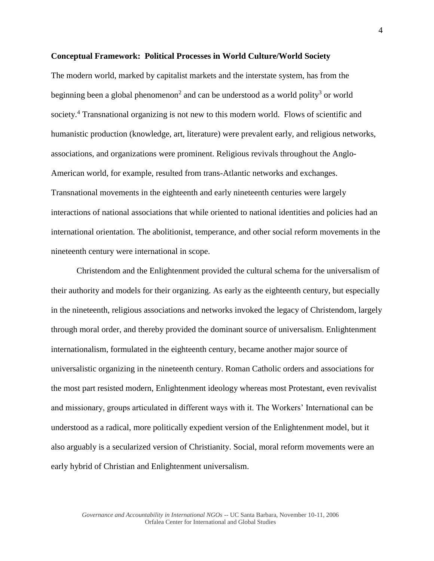## **Conceptual Framework: Political Processes in World Culture/World Society**

The modern world, marked by capitalist markets and the interstate system, has from the beginning been a global phenomenon<sup>2</sup> and can be understood as a world polity<sup>3</sup> or world society.<sup>4</sup> Transnational organizing is not new to this modern world. Flows of scientific and humanistic production (knowledge, art, literature) were prevalent early, and religious networks, associations, and organizations were prominent. Religious revivals throughout the Anglo-American world, for example, resulted from trans-Atlantic networks and exchanges. Transnational movements in the eighteenth and early nineteenth centuries were largely interactions of national associations that while oriented to national identities and policies had an international orientation. The abolitionist, temperance, and other social reform movements in the nineteenth century were international in scope.

Christendom and the Enlightenment provided the cultural schema for the universalism of their authority and models for their organizing. As early as the eighteenth century, but especially in the nineteenth, religious associations and networks invoked the legacy of Christendom, largely through moral order, and thereby provided the dominant source of universalism. Enlightenment internationalism, formulated in the eighteenth century, became another major source of universalistic organizing in the nineteenth century. Roman Catholic orders and associations for the most part resisted modern, Enlightenment ideology whereas most Protestant, even revivalist and missionary, groups articulated in different ways with it. The Workers' International can be understood as a radical, more politically expedient version of the Enlightenment model, but it also arguably is a secularized version of Christianity. Social, moral reform movements were an early hybrid of Christian and Enlightenment universalism.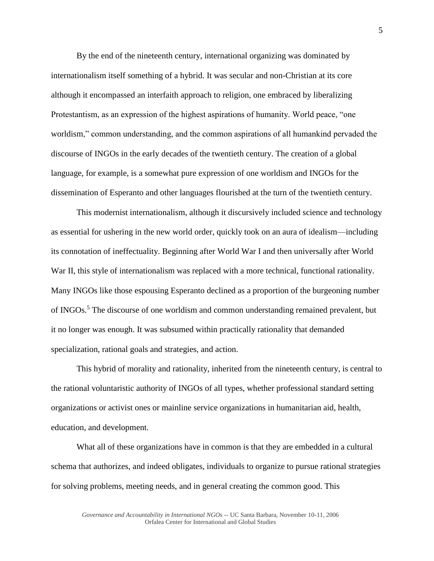By the end of the nineteenth century, international organizing was dominated by internationalism itself something of a hybrid. It was secular and non-Christian at its core although it encompassed an interfaith approach to religion, one embraced by liberalizing Protestantism, as an expression of the highest aspirations of humanity. World peace, "one worldism," common understanding, and the common aspirations of all humankind pervaded the discourse of INGOs in the early decades of the twentieth century. The creation of a global language, for example, is a somewhat pure expression of one worldism and INGOs for the dissemination of Esperanto and other languages flourished at the turn of the twentieth century.

This modernist internationalism, although it discursively included science and technology as essential for ushering in the new world order, quickly took on an aura of idealism—including its connotation of ineffectuality. Beginning after World War I and then universally after World War II, this style of internationalism was replaced with a more technical, functional rationality. Many INGOs like those espousing Esperanto declined as a proportion of the burgeoning number of INGOs.<sup>5</sup> The discourse of one worldism and common understanding remained prevalent, but it no longer was enough. It was subsumed within practically rationality that demanded specialization, rational goals and strategies, and action.

This hybrid of morality and rationality, inherited from the nineteenth century, is central to the rational voluntaristic authority of INGOs of all types, whether professional standard setting organizations or activist ones or mainline service organizations in humanitarian aid, health, education, and development.

What all of these organizations have in common is that they are embedded in a cultural schema that authorizes, and indeed obligates, individuals to organize to pursue rational strategies for solving problems, meeting needs, and in general creating the common good. This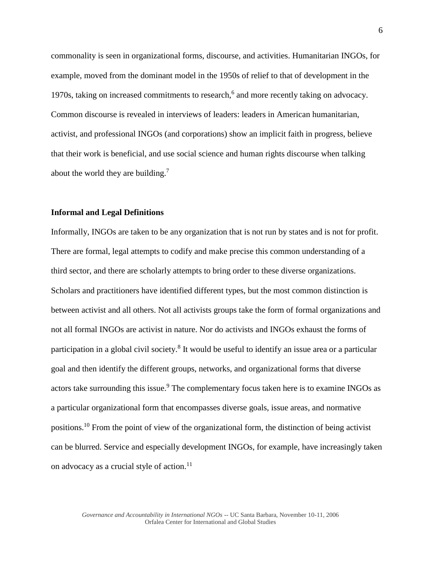commonality is seen in organizational forms, discourse, and activities. Humanitarian INGOs, for example, moved from the dominant model in the 1950s of relief to that of development in the 1970s, taking on increased commitments to research,<sup>6</sup> and more recently taking on advocacy. Common discourse is revealed in interviews of leaders: leaders in American humanitarian, activist, and professional INGOs (and corporations) show an implicit faith in progress, believe that their work is beneficial, and use social science and human rights discourse when talking about the world they are building.<sup>7</sup>

# **Informal and Legal Definitions**

Informally, INGOs are taken to be any organization that is not run by states and is not for profit. There are formal, legal attempts to codify and make precise this common understanding of a third sector, and there are scholarly attempts to bring order to these diverse organizations. Scholars and practitioners have identified different types, but the most common distinction is between activist and all others. Not all activists groups take the form of formal organizations and not all formal INGOs are activist in nature. Nor do activists and INGOs exhaust the forms of participation in a global civil society.<sup>8</sup> It would be useful to identify an issue area or a particular goal and then identify the different groups, networks, and organizational forms that diverse actors take surrounding this issue.<sup>9</sup> The complementary focus taken here is to examine INGOs as a particular organizational form that encompasses diverse goals, issue areas, and normative positions.<sup>10</sup> From the point of view of the organizational form, the distinction of being activist can be blurred. Service and especially development INGOs, for example, have increasingly taken on advocacy as a crucial style of action.<sup>11</sup>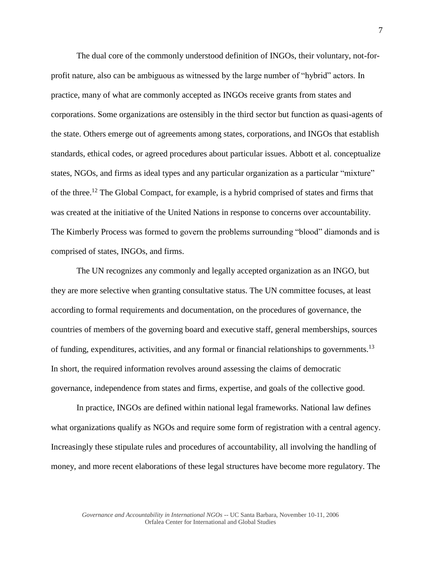The dual core of the commonly understood definition of INGOs, their voluntary, not-forprofit nature, also can be ambiguous as witnessed by the large number of "hybrid" actors. In practice, many of what are commonly accepted as INGOs receive grants from states and corporations. Some organizations are ostensibly in the third sector but function as quasi-agents of the state. Others emerge out of agreements among states, corporations, and INGOs that establish standards, ethical codes, or agreed procedures about particular issues. Abbott et al. conceptualize states, NGOs, and firms as ideal types and any particular organization as a particular "mixture" of the three.<sup>12</sup> The Global Compact, for example, is a hybrid comprised of states and firms that was created at the initiative of the United Nations in response to concerns over accountability. The Kimberly Process was formed to govern the problems surrounding "blood" diamonds and is comprised of states, INGOs, and firms.

The UN recognizes any commonly and legally accepted organization as an INGO, but they are more selective when granting consultative status. The UN committee focuses, at least according to formal requirements and documentation, on the procedures of governance, the countries of members of the governing board and executive staff, general memberships, sources of funding, expenditures, activities, and any formal or financial relationships to governments.<sup>13</sup> In short, the required information revolves around assessing the claims of democratic governance, independence from states and firms, expertise, and goals of the collective good.

In practice, INGOs are defined within national legal frameworks. National law defines what organizations qualify as NGOs and require some form of registration with a central agency. Increasingly these stipulate rules and procedures of accountability, all involving the handling of money, and more recent elaborations of these legal structures have become more regulatory. The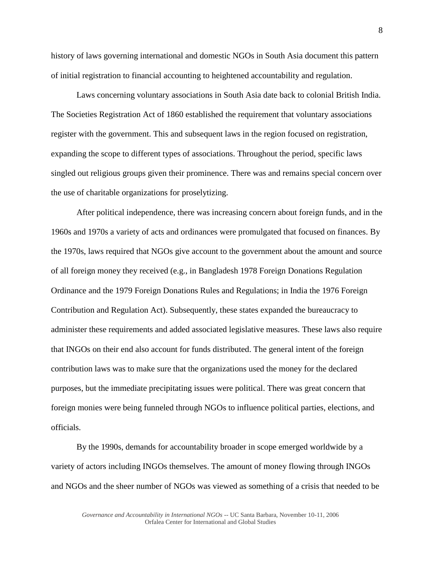history of laws governing international and domestic NGOs in South Asia document this pattern of initial registration to financial accounting to heightened accountability and regulation.

Laws concerning voluntary associations in South Asia date back to colonial British India. The Societies Registration Act of 1860 established the requirement that voluntary associations register with the government. This and subsequent laws in the region focused on registration, expanding the scope to different types of associations. Throughout the period, specific laws singled out religious groups given their prominence. There was and remains special concern over the use of charitable organizations for proselytizing.

After political independence, there was increasing concern about foreign funds, and in the 1960s and 1970s a variety of acts and ordinances were promulgated that focused on finances. By the 1970s, laws required that NGOs give account to the government about the amount and source of all foreign money they received (e.g., in Bangladesh 1978 Foreign Donations Regulation Ordinance and the 1979 Foreign Donations Rules and Regulations; in India the 1976 Foreign Contribution and Regulation Act). Subsequently, these states expanded the bureaucracy to administer these requirements and added associated legislative measures. These laws also require that INGOs on their end also account for funds distributed. The general intent of the foreign contribution laws was to make sure that the organizations used the money for the declared purposes, but the immediate precipitating issues were political. There was great concern that foreign monies were being funneled through NGOs to influence political parties, elections, and officials.

By the 1990s, demands for accountability broader in scope emerged worldwide by a variety of actors including INGOs themselves. The amount of money flowing through INGOs and NGOs and the sheer number of NGOs was viewed as something of a crisis that needed to be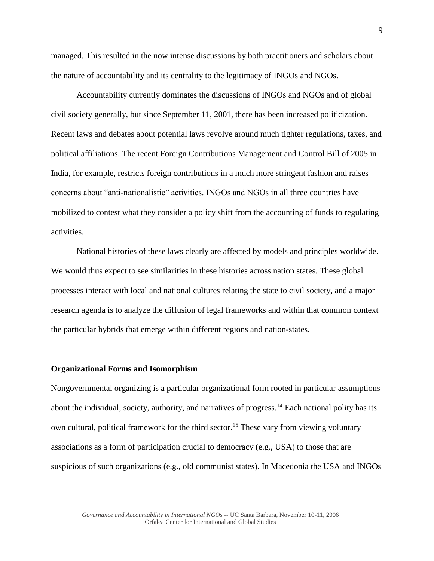managed. This resulted in the now intense discussions by both practitioners and scholars about the nature of accountability and its centrality to the legitimacy of INGOs and NGOs.

Accountability currently dominates the discussions of INGOs and NGOs and of global civil society generally, but since September 11, 2001, there has been increased politicization. Recent laws and debates about potential laws revolve around much tighter regulations, taxes, and political affiliations. The recent Foreign Contributions Management and Control Bill of 2005 in India, for example, restricts foreign contributions in a much more stringent fashion and raises concerns about "anti-nationalistic" activities. INGOs and NGOs in all three countries have mobilized to contest what they consider a policy shift from the accounting of funds to regulating activities.

National histories of these laws clearly are affected by models and principles worldwide. We would thus expect to see similarities in these histories across nation states. These global processes interact with local and national cultures relating the state to civil society, and a major research agenda is to analyze the diffusion of legal frameworks and within that common context the particular hybrids that emerge within different regions and nation-states.

## **Organizational Forms and Isomorphism**

Nongovernmental organizing is a particular organizational form rooted in particular assumptions about the individual, society, authority, and narratives of progress.<sup>14</sup> Each national polity has its own cultural, political framework for the third sector.<sup>15</sup> These vary from viewing voluntary associations as a form of participation crucial to democracy (e.g., USA) to those that are suspicious of such organizations (e.g., old communist states). In Macedonia the USA and INGOs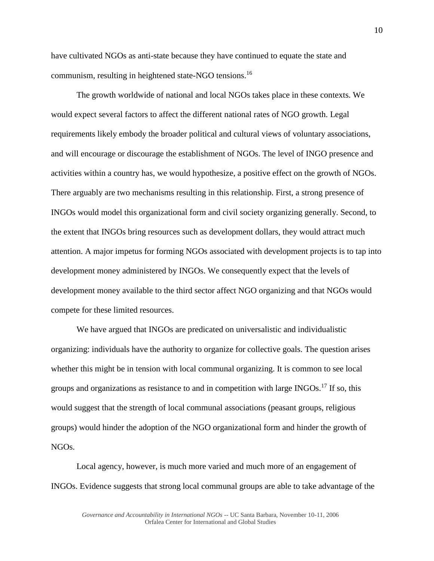have cultivated NGOs as anti-state because they have continued to equate the state and communism, resulting in heightened state-NGO tensions.<sup>16</sup>

The growth worldwide of national and local NGOs takes place in these contexts. We would expect several factors to affect the different national rates of NGO growth. Legal requirements likely embody the broader political and cultural views of voluntary associations, and will encourage or discourage the establishment of NGOs. The level of INGO presence and activities within a country has, we would hypothesize, a positive effect on the growth of NGOs. There arguably are two mechanisms resulting in this relationship. First, a strong presence of INGOs would model this organizational form and civil society organizing generally. Second, to the extent that INGOs bring resources such as development dollars, they would attract much attention. A major impetus for forming NGOs associated with development projects is to tap into development money administered by INGOs. We consequently expect that the levels of development money available to the third sector affect NGO organizing and that NGOs would compete for these limited resources.

We have argued that INGOs are predicated on universalistic and individualistic organizing: individuals have the authority to organize for collective goals. The question arises whether this might be in tension with local communal organizing. It is common to see local groups and organizations as resistance to and in competition with large INGOs.<sup>17</sup> If so, this would suggest that the strength of local communal associations (peasant groups, religious groups) would hinder the adoption of the NGO organizational form and hinder the growth of NGOs.

Local agency, however, is much more varied and much more of an engagement of INGOs. Evidence suggests that strong local communal groups are able to take advantage of the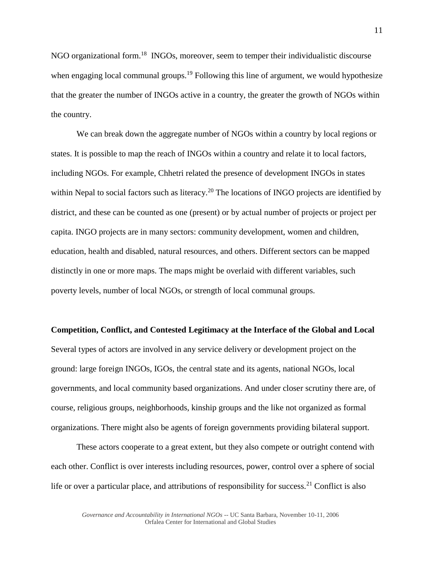NGO organizational form.<sup>18</sup> INGOs, moreover, seem to temper their individualistic discourse when engaging local communal groups.<sup>19</sup> Following this line of argument, we would hypothesize that the greater the number of INGOs active in a country, the greater the growth of NGOs within the country.

We can break down the aggregate number of NGOs within a country by local regions or states. It is possible to map the reach of INGOs within a country and relate it to local factors, including NGOs. For example, Chhetri related the presence of development INGOs in states within Nepal to social factors such as literacy.<sup>20</sup> The locations of INGO projects are identified by district, and these can be counted as one (present) or by actual number of projects or project per capita. INGO projects are in many sectors: community development, women and children, education, health and disabled, natural resources, and others. Different sectors can be mapped distinctly in one or more maps. The maps might be overlaid with different variables, such poverty levels, number of local NGOs, or strength of local communal groups.

#### **Competition, Conflict, and Contested Legitimacy at the Interface of the Global and Local**

Several types of actors are involved in any service delivery or development project on the ground: large foreign INGOs, IGOs, the central state and its agents, national NGOs, local governments, and local community based organizations. And under closer scrutiny there are, of course, religious groups, neighborhoods, kinship groups and the like not organized as formal organizations. There might also be agents of foreign governments providing bilateral support.

These actors cooperate to a great extent, but they also compete or outright contend with each other. Conflict is over interests including resources, power, control over a sphere of social life or over a particular place, and attributions of responsibility for success.<sup>21</sup> Conflict is also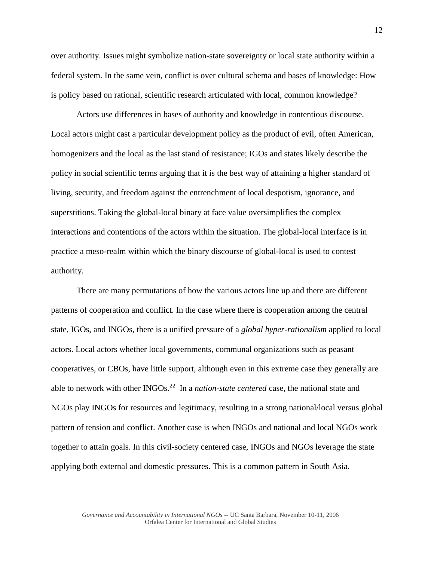over authority. Issues might symbolize nation-state sovereignty or local state authority within a federal system. In the same vein, conflict is over cultural schema and bases of knowledge: How is policy based on rational, scientific research articulated with local, common knowledge?

Actors use differences in bases of authority and knowledge in contentious discourse. Local actors might cast a particular development policy as the product of evil, often American, homogenizers and the local as the last stand of resistance; IGOs and states likely describe the policy in social scientific terms arguing that it is the best way of attaining a higher standard of living, security, and freedom against the entrenchment of local despotism, ignorance, and superstitions. Taking the global-local binary at face value oversimplifies the complex interactions and contentions of the actors within the situation. The global-local interface is in practice a meso-realm within which the binary discourse of global-local is used to contest authority.

There are many permutations of how the various actors line up and there are different patterns of cooperation and conflict. In the case where there is cooperation among the central state, IGOs, and INGOs, there is a unified pressure of a *global hyper-rationalism* applied to local actors. Local actors whether local governments, communal organizations such as peasant cooperatives, or CBOs, have little support, although even in this extreme case they generally are able to network with other INGOs.<sup>22</sup> In a *nation-state centered* case, the national state and NGOs play INGOs for resources and legitimacy, resulting in a strong national/local versus global pattern of tension and conflict. Another case is when INGOs and national and local NGOs work together to attain goals. In this civil-society centered case, INGOs and NGOs leverage the state applying both external and domestic pressures. This is a common pattern in South Asia.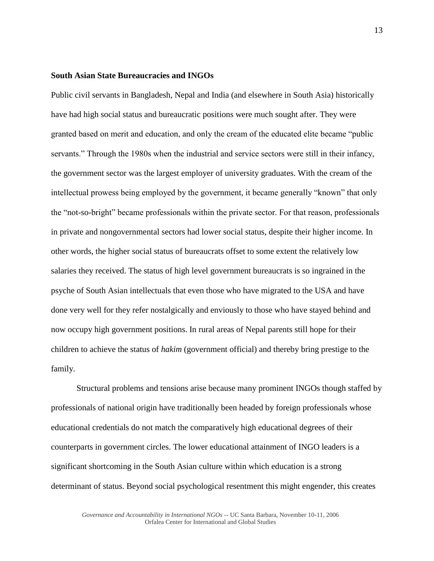## **South Asian State Bureaucracies and INGOs**

Public civil servants in Bangladesh, Nepal and India (and elsewhere in South Asia) historically have had high social status and bureaucratic positions were much sought after. They were granted based on merit and education, and only the cream of the educated elite became "public servants." Through the 1980s when the industrial and service sectors were still in their infancy, the government sector was the largest employer of university graduates. With the cream of the intellectual prowess being employed by the government, it became generally "known" that only the "not-so-bright" became professionals within the private sector. For that reason, professionals in private and nongovernmental sectors had lower social status, despite their higher income. In other words, the higher social status of bureaucrats offset to some extent the relatively low salaries they received. The status of high level government bureaucrats is so ingrained in the psyche of South Asian intellectuals that even those who have migrated to the USA and have done very well for they refer nostalgically and enviously to those who have stayed behind and now occupy high government positions. In rural areas of Nepal parents still hope for their children to achieve the status of *hakim* (government official) and thereby bring prestige to the family.

Structural problems and tensions arise because many prominent INGOs though staffed by professionals of national origin have traditionally been headed by foreign professionals whose educational credentials do not match the comparatively high educational degrees of their counterparts in government circles. The lower educational attainment of INGO leaders is a significant shortcoming in the South Asian culture within which education is a strong determinant of status. Beyond social psychological resentment this might engender, this creates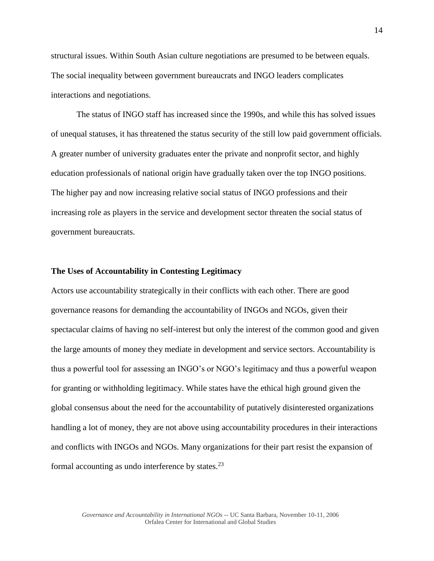structural issues. Within South Asian culture negotiations are presumed to be between equals. The social inequality between government bureaucrats and INGO leaders complicates interactions and negotiations.

The status of INGO staff has increased since the 1990s, and while this has solved issues of unequal statuses, it has threatened the status security of the still low paid government officials. A greater number of university graduates enter the private and nonprofit sector, and highly education professionals of national origin have gradually taken over the top INGO positions. The higher pay and now increasing relative social status of INGO professions and their increasing role as players in the service and development sector threaten the social status of government bureaucrats.

# **The Uses of Accountability in Contesting Legitimacy**

Actors use accountability strategically in their conflicts with each other. There are good governance reasons for demanding the accountability of INGOs and NGOs, given their spectacular claims of having no self-interest but only the interest of the common good and given the large amounts of money they mediate in development and service sectors. Accountability is thus a powerful tool for assessing an INGO's or NGO's legitimacy and thus a powerful weapon for granting or withholding legitimacy. While states have the ethical high ground given the global consensus about the need for the accountability of putatively disinterested organizations handling a lot of money, they are not above using accountability procedures in their interactions and conflicts with INGOs and NGOs. Many organizations for their part resist the expansion of formal accounting as undo interference by states. $^{23}$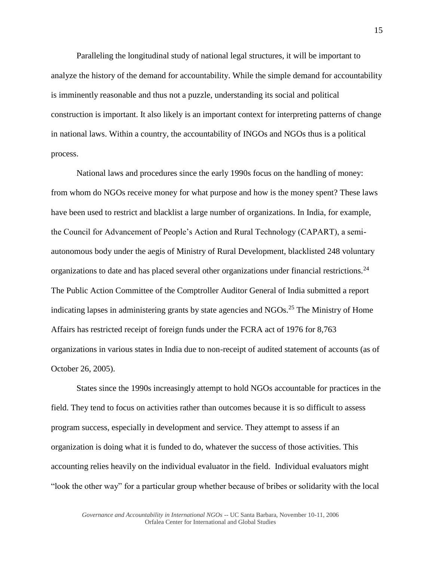Paralleling the longitudinal study of national legal structures, it will be important to analyze the history of the demand for accountability. While the simple demand for accountability is imminently reasonable and thus not a puzzle, understanding its social and political construction is important. It also likely is an important context for interpreting patterns of change in national laws. Within a country, the accountability of INGOs and NGOs thus is a political process.

National laws and procedures since the early 1990s focus on the handling of money: from whom do NGOs receive money for what purpose and how is the money spent? These laws have been used to restrict and blacklist a large number of organizations. In India, for example, the Council for Advancement of People's Action and Rural Technology (CAPART), a semiautonomous body under the aegis of Ministry of Rural Development, blacklisted 248 voluntary organizations to date and has placed several other organizations under financial restrictions.<sup>24</sup> The Public Action Committee of the Comptroller Auditor General of India submitted a report indicating lapses in administering grants by state agencies and  $NGOs<sup>25</sup>$ . The Ministry of Home Affairs has restricted receipt of foreign funds under the FCRA act of 1976 for 8,763 organizations in various states in India due to non-receipt of audited statement of accounts (as of October 26, 2005).

States since the 1990s increasingly attempt to hold NGOs accountable for practices in the field. They tend to focus on activities rather than outcomes because it is so difficult to assess program success, especially in development and service. They attempt to assess if an organization is doing what it is funded to do, whatever the success of those activities. This accounting relies heavily on the individual evaluator in the field. Individual evaluators might "look the other way" for a particular group whether because of bribes or solidarity with the local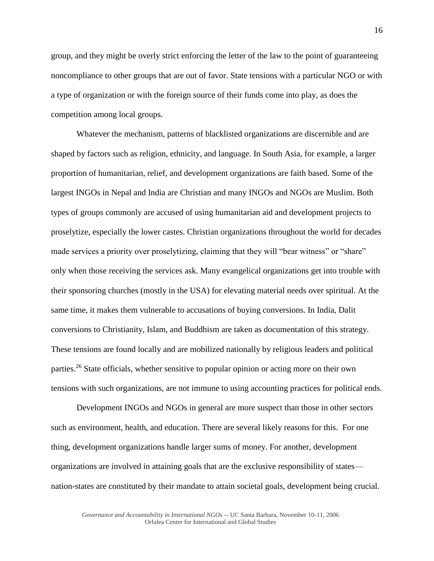group, and they might be overly strict enforcing the letter of the law to the point of guaranteeing noncompliance to other groups that are out of favor. State tensions with a particular NGO or with a type of organization or with the foreign source of their funds come into play, as does the competition among local groups.

Whatever the mechanism, patterns of blacklisted organizations are discernible and are shaped by factors such as religion, ethnicity, and language. In South Asia, for example, a larger proportion of humanitarian, relief, and development organizations are faith based. Some of the largest INGOs in Nepal and India are Christian and many INGOs and NGOs are Muslim. Both types of groups commonly are accused of using humanitarian aid and development projects to proselytize, especially the lower castes. Christian organizations throughout the world for decades made services a priority over proselytizing, claiming that they will "bear witness" or "share" only when those receiving the services ask. Many evangelical organizations get into trouble with their sponsoring churches (mostly in the USA) for elevating material needs over spiritual. At the same time, it makes them vulnerable to accusations of buying conversions. In India, Dalit conversions to Christianity, Islam, and Buddhism are taken as documentation of this strategy. These tensions are found locally and are mobilized nationally by religious leaders and political parties.<sup>26</sup> State officials, whether sensitive to popular opinion or acting more on their own tensions with such organizations, are not immune to using accounting practices for political ends.

Development INGOs and NGOs in general are more suspect than those in other sectors such as environment, health, and education. There are several likely reasons for this. For one thing, development organizations handle larger sums of money. For another, development organizations are involved in attaining goals that are the exclusive responsibility of states nation-states are constituted by their mandate to attain societal goals, development being crucial.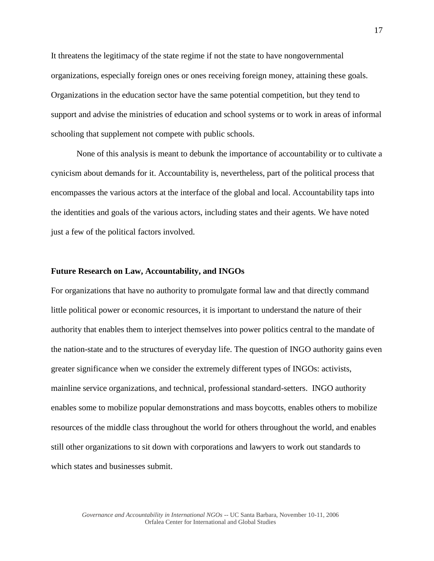It threatens the legitimacy of the state regime if not the state to have nongovernmental organizations, especially foreign ones or ones receiving foreign money, attaining these goals. Organizations in the education sector have the same potential competition, but they tend to support and advise the ministries of education and school systems or to work in areas of informal schooling that supplement not compete with public schools.

None of this analysis is meant to debunk the importance of accountability or to cultivate a cynicism about demands for it. Accountability is, nevertheless, part of the political process that encompasses the various actors at the interface of the global and local. Accountability taps into the identities and goals of the various actors, including states and their agents. We have noted just a few of the political factors involved.

## **Future Research on Law, Accountability, and INGOs**

For organizations that have no authority to promulgate formal law and that directly command little political power or economic resources, it is important to understand the nature of their authority that enables them to interject themselves into power politics central to the mandate of the nation-state and to the structures of everyday life. The question of INGO authority gains even greater significance when we consider the extremely different types of INGOs: activists, mainline service organizations, and technical, professional standard-setters. INGO authority enables some to mobilize popular demonstrations and mass boycotts, enables others to mobilize resources of the middle class throughout the world for others throughout the world, and enables still other organizations to sit down with corporations and lawyers to work out standards to which states and businesses submit.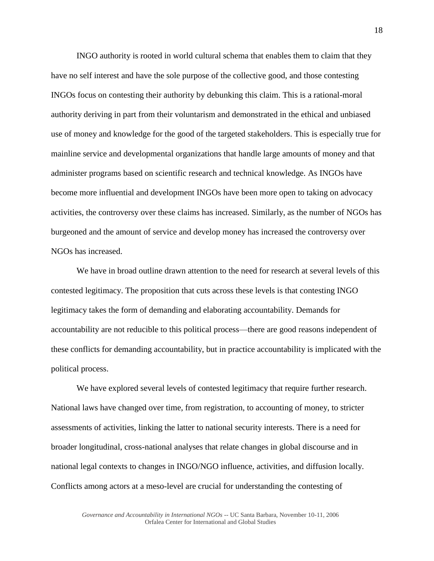INGO authority is rooted in world cultural schema that enables them to claim that they have no self interest and have the sole purpose of the collective good, and those contesting INGOs focus on contesting their authority by debunking this claim. This is a rational-moral authority deriving in part from their voluntarism and demonstrated in the ethical and unbiased use of money and knowledge for the good of the targeted stakeholders. This is especially true for mainline service and developmental organizations that handle large amounts of money and that administer programs based on scientific research and technical knowledge. As INGOs have become more influential and development INGOs have been more open to taking on advocacy activities, the controversy over these claims has increased. Similarly, as the number of NGOs has burgeoned and the amount of service and develop money has increased the controversy over NGOs has increased.

We have in broad outline drawn attention to the need for research at several levels of this contested legitimacy. The proposition that cuts across these levels is that contesting INGO legitimacy takes the form of demanding and elaborating accountability. Demands for accountability are not reducible to this political process—there are good reasons independent of these conflicts for demanding accountability, but in practice accountability is implicated with the political process.

We have explored several levels of contested legitimacy that require further research. National laws have changed over time, from registration, to accounting of money, to stricter assessments of activities, linking the latter to national security interests. There is a need for broader longitudinal, cross-national analyses that relate changes in global discourse and in national legal contexts to changes in INGO/NGO influence, activities, and diffusion locally. Conflicts among actors at a meso-level are crucial for understanding the contesting of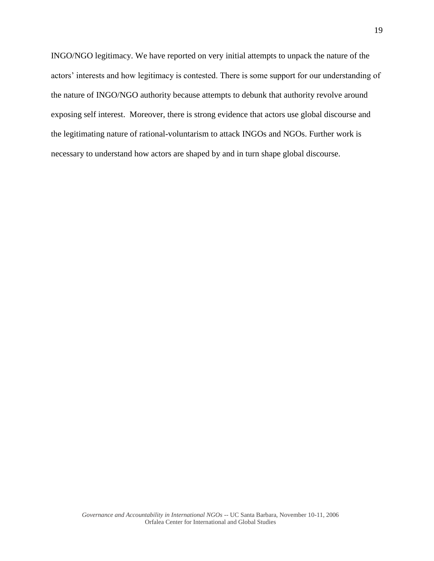INGO/NGO legitimacy. We have reported on very initial attempts to unpack the nature of the actors' interests and how legitimacy is contested. There is some support for our understanding of the nature of INGO/NGO authority because attempts to debunk that authority revolve around exposing self interest. Moreover, there is strong evidence that actors use global discourse and the legitimating nature of rational-voluntarism to attack INGOs and NGOs. Further work is necessary to understand how actors are shaped by and in turn shape global discourse.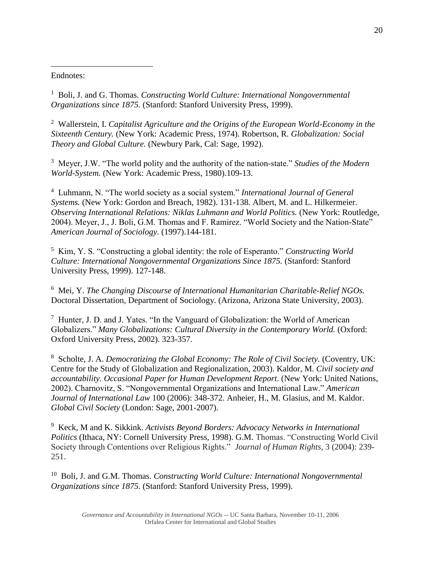Endnotes:  $\overline{a}$ 

<sup>1</sup> Boli, J. and G. Thomas. *Constructing World Culture: International Nongovernmental Organizations since 1875.* (Stanford: Stanford University Press, 1999).

2 Wallerstein, I. *Capitalist Agriculture and the Origins of the European World-Economy in the Sixteenth Century.* (New York: Academic Press, 1974). Robertson, R. *Globalization: Social Theory and Global Culture.* (Newbury Park, Cal: Sage, 1992).

3 Meyer, J.W. "The world polity and the authority of the nation-state." *Studies of the Modern World-System.* (New York: Academic Press, 1980).109-13.

4 Luhmann, N. "The world society as a social system." *International Journal of General Systems.* (New York: Gordon and Breach, 1982). 131-138. Albert, M. and L. Hilkermeier. *Observing International Relations: Niklas Luhmann and World Politics.* (New York: Routledge, 2004). Meyer, J., J. Boli, G.M. Thomas and F. Ramirez. "World Society and the Nation-State" *American Journal of Sociology.* (1997).144-181.

5 Kim, Y. S. "Constructing a global identity: the role of Esperanto." *Constructing World Culture: International Nongovernmental Organizations Since 1875.* (Stanford: Stanford University Press, 1999). 127-148.

6 Mei, Y. *The Changing Discourse of International Humanitarian Charitable-Relief NGOs.* Doctoral Dissertation, Department of Sociology. (Arizona, Arizona State University, 2003).

<sup>7</sup> Hunter, J. D. and J. Yates. "In the Vanguard of Globalization: the World of American Globalizers." *Many Globalizations: Cultural Diversity in the Contemporary World.* (Oxford: Oxford University Press, 2002). 323-357.

8 Scholte, J. A. *Democratizing the Global Economy: The Role of Civil Society.* (Coventry, UK: Centre for the Study of Globalization and Regionalization, 2003). Kaldor, M. *Civil society and accountability. Occasional Paper for Human Development Report*. (New York: United Nations, 2002). Charnovitz, S. "Nongovernmental Organizations and International Law." *American Journal of International Law* 100 (2006): 348-372. Anheier, H., M. Glasius, and M. Kaldor. *Global Civil Society* (London: Sage, 2001-2007).

9 Keck, M and K. Sikkink. *Activists Beyond Borders: Advocacy Networks in International Politics* (Ithaca, NY: Cornell University Press, 1998). G.M. Thomas. "Constructing World Civil Society through Contentions over Religious Rights." *Journal of Human Rights,* 3 (2004): 239- 251.

<sup>10</sup> Boli, J. and G.M. Thomas. *Constructing World Culture: International Nongovernmental Organizations since 1875.* (Stanford: Stanford University Press, 1999).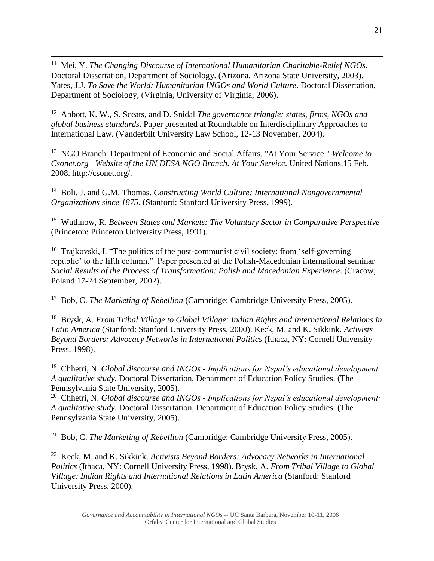<sup>11</sup> Mei, Y. *The Changing Discourse of International Humanitarian Charitable-Relief NGOs.* Doctoral Dissertation, Department of Sociology. (Arizona, Arizona State University, 2003). Yates, J.J. *To Save the World: Humanitarian INGOs and World Culture*. Doctoral Dissertation, Department of Sociology, (Virginia, University of Virginia, 2006).

 $\overline{a}$ 

<sup>12</sup> Abbott, K. W., S. Sceats, and D. Snidal *The governance triangle: states, firms, NGOs and global business standards*. Paper presented at Roundtable on Interdisciplinary Approaches to International Law. (Vanderbilt University Law School, 12-13 November, 2004).

<sup>13</sup> NGO Branch: Department of Economic and Social Affairs. "At Your Service." *Welcome to Csonet.org | Website of the UN DESA NGO Branch. At Your Service*. United Nations.15 Feb. 2008. http://csonet.org/.

<sup>14</sup> Boli, J. and G.M. Thomas. *Constructing World Culture: International Nongovernmental Organizations since 1875.* (Stanford: Stanford University Press, 1999).

15 Wuthnow, R. *Between States and Markets: The Voluntary Sector in Comparative Perspective*  (Princeton: Princeton University Press, 1991).

<sup>16</sup> Trajkovski, I. "The politics of the post-communist civil society: from 'self-governing republic' to the fifth column." Paper presented at the Polish-Macedonian international seminar *Social Results of the Process of Transformation: Polish and Macedonian Experience*. (Cracow, Poland 17-24 September, 2002).

<sup>17</sup> Bob, C. *The Marketing of Rebellion* (Cambridge: Cambridge University Press, 2005).

18 Brysk, A. *From Tribal Village to Global Village: Indian Rights and International Relations in Latin America* (Stanford: Stanford University Press, 2000). Keck, M. and K. Sikkink. *Activists Beyond Borders: Advocacy Networks in International Politics* (Ithaca, NY: Cornell University Press, 1998).

19 Chhetri, N. *Global discourse and INGOs - Implications for Nepal's educational development: A qualitative study.* Doctoral Dissertation, Department of Education Policy Studies. (The Pennsylvania State University, 2005).

20 Chhetri, N. *Global discourse and INGOs - Implications for Nepal's educational development: A qualitative study.* Doctoral Dissertation, Department of Education Policy Studies. (The Pennsylvania State University, 2005).

21 Bob, C. *The Marketing of Rebellion* (Cambridge: Cambridge University Press, 2005).

22 Keck, M. and K. Sikkink. *Activists Beyond Borders: Advocacy Networks in International Politics* (Ithaca, NY: Cornell University Press, 1998). Brysk, A. *From Tribal Village to Global Village: Indian Rights and International Relations in Latin America* (Stanford: Stanford University Press, 2000).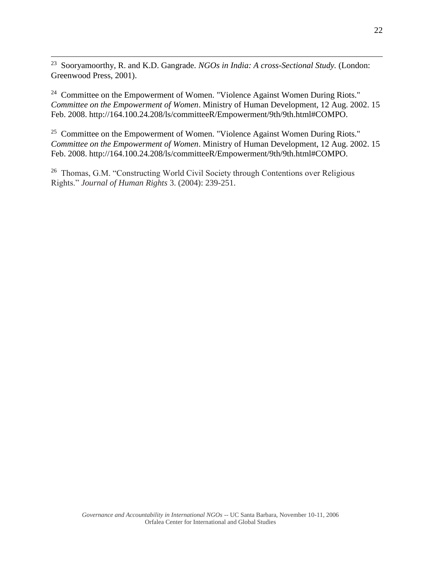23 Sooryamoorthy, R. and K.D. Gangrade. *NGOs in India: A cross-Sectional Study.* (London: Greenwood Press, 2001).

 $\overline{a}$ 

<sup>24</sup> Committee on the Empowerment of Women. "Violence Against Women During Riots." *Committee on the Empowerment of Women*. Ministry of Human Development, 12 Aug. 2002. 15 Feb. 2008. http://164.100.24.208/ls/committeeR/Empowerment/9th/9th.html#COMPO.

<sup>25</sup> Committee on the Empowerment of Women. "Violence Against Women During Riots." *Committee on the Empowerment of Women*. Ministry of Human Development, 12 Aug. 2002. 15 Feb. 2008. http://164.100.24.208/ls/committeeR/Empowerment/9th/9th.html#COMPO.

<sup>26</sup> Thomas, G.M. "Constructing World Civil Society through Contentions over Religious Rights." *Journal of Human Rights* 3. (2004): 239-251.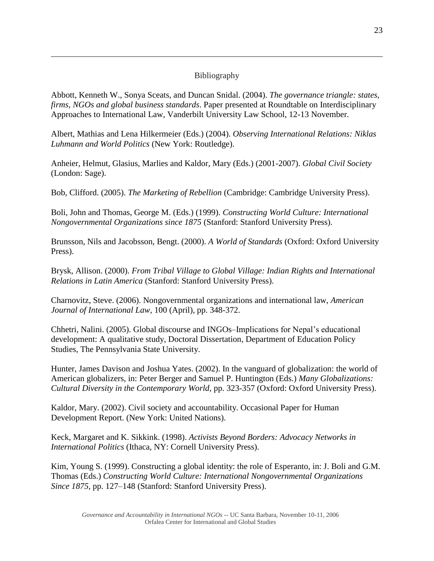# Bibliography

 $\overline{a}$ 

Abbott, Kenneth W., Sonya Sceats, and Duncan Snidal. (2004). *The governance triangle: states, firms, NGOs and global business standards*. Paper presented at Roundtable on Interdisciplinary Approaches to International Law, Vanderbilt University Law School, 12-13 November.

Albert, Mathias and Lena Hilkermeier (Eds.) (2004). *Observing International Relations: Niklas Luhmann and World Politics* (New York: Routledge).

Anheier, Helmut, Glasius, Marlies and Kaldor, Mary (Eds.) (2001-2007). *Global Civil Society* (London: Sage).

Bob, Clifford. (2005). *The Marketing of Rebellion* (Cambridge: Cambridge University Press).

Boli, John and Thomas, George M. (Eds.) (1999). *Constructing World Culture: International Nongovernmental Organizations since 1875* (Stanford: Stanford University Press).

Brunsson, Nils and Jacobsson, Bengt. (2000). *A World of Standards* (Oxford: Oxford University Press).

Brysk, Allison. (2000). *From Tribal Village to Global Village: Indian Rights and International Relations in Latin America* (Stanford: Stanford University Press).

Charnovitz, Steve. (2006). Nongovernmental organizations and international law, *American Journal of International Law,* 100 (April), pp. 348-372.

Chhetri, Nalini. (2005). Global discourse and INGOs–Implications for Nepal's educational development: A qualitative study, Doctoral Dissertation, Department of Education Policy Studies, The Pennsylvania State University.

Hunter, James Davison and Joshua Yates. (2002). In the vanguard of globalization: the world of American globalizers, in: Peter Berger and Samuel P. Huntington (Eds.) *Many Globalizations: Cultural Diversity in the Contemporary World,* pp. 323-357 (Oxford: Oxford University Press).

Kaldor, Mary. (2002). Civil society and accountability. Occasional Paper for Human Development Report. (New York: United Nations).

Keck, Margaret and K. Sikkink. (1998). *Activists Beyond Borders: Advocacy Networks in International Politics* (Ithaca, NY: Cornell University Press).

Kim, Young S. (1999). Constructing a global identity: the role of Esperanto, in: J. Boli and G.M. Thomas (Eds.) *Constructing World Culture: International Nongovernmental Organizations Since 1875,* pp. 127–148 (Stanford: Stanford University Press).